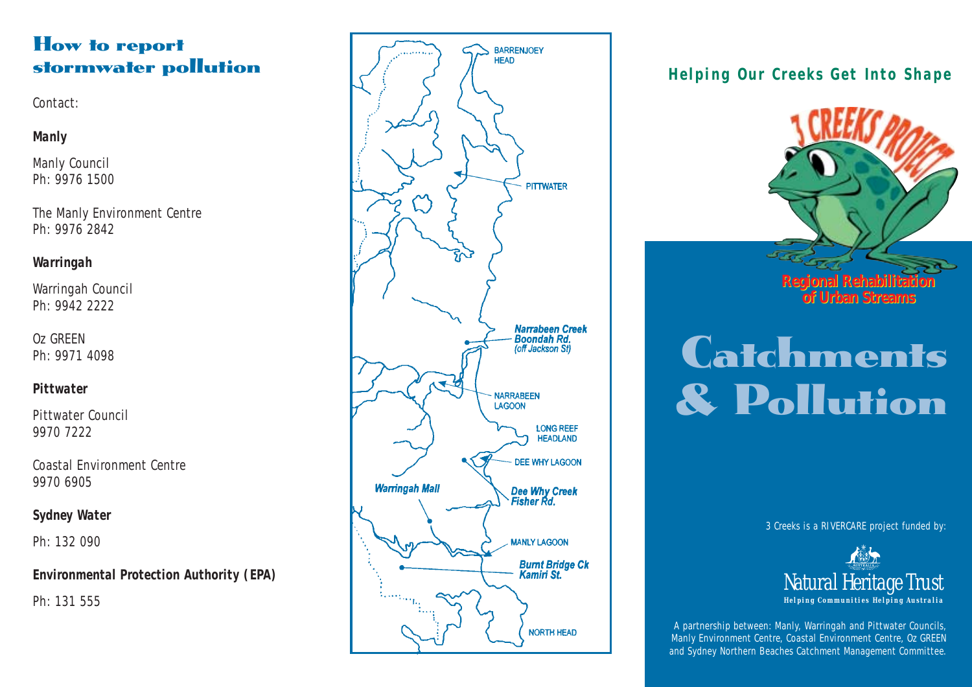## How to report stormwater pollution

Contact:

### *Manly*

Manly Council Ph: 9976 1500

The Manly Environment Centre Ph: 9976 2842

## *Warringah*

Warringah Council Ph: 9942 2222

Oz GREEN Ph: 9971 4098

## *Pittwater*

Pittwater Council 9970 7222

Coastal Environment Centre 9970 6905

## *Sydney Water*

Ph: 132 090

## *Environmental Protection Authority (EPA)*

Ph: 131 555



## *Helping Our Creeks Get Into Shape*



# **Catchments** & Pollution

3 Creeks is a RIVERCARE project funded by:



A partnership between: Manly, Warringah and Pittwater Councils, Manly Environment Centre, Coastal Environment Centre, Oz GREEN and Sydney Northern Beaches Catchment Management Committee.